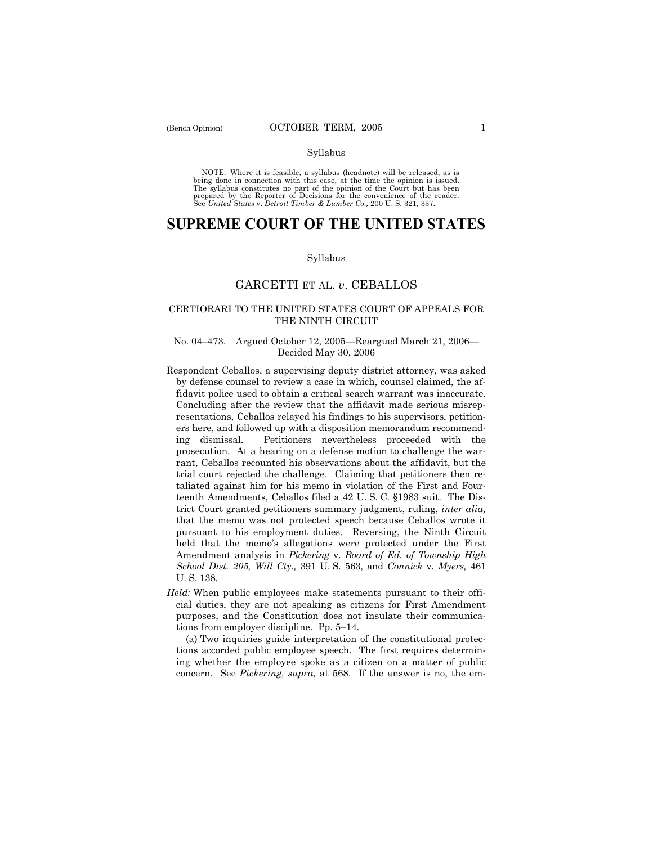#### Syllabus

NOTE: Where it is feasible, a syllabus (headnote) will be released, as is being done in connection with this case, at the time the opinion is issued. The syllabus constitutes no part of the opinion of the Court but has been<br>prepared by the Reporter of Decisions for the convenience of the reader.<br>See United States v. Detroit Timber & Lumber Co., 200 U. S. 321, 337.

# **SUPREME COURT OF THE UNITED STATES**

#### Syllabus

## GARCETTI ET AL. *v*. CEBALLOS

## CERTIORARI TO THE UNITED STATES COURT OF APPEALS FOR THE NINTH CIRCUIT

### No. 04–473. Argued October 12, 2005–Reargued March 21, 2006– Decided May 30, 2006

- Respondent Ceballos, a supervising deputy district attorney, was asked by defense counsel to review a case in which, counsel claimed, the affidavit police used to obtain a critical search warrant was inaccurate. Concluding after the review that the affidavit made serious misrepresentations, Ceballos relayed his findings to his supervisors, petitioners here, and followed up with a disposition memorandum recommending dismissal. Petitioners nevertheless proceeded with the prosecution. At a hearing on a defense motion to challenge the warrant, Ceballos recounted his observations about the affidavit, but the trial court rejected the challenge. Claiming that petitioners then retaliated against him for his memo in violation of the First and Fourteenth Amendments, Ceballos filed a 42 U. S. C. ß1983 suit. The District Court granted petitioners summary judgment, ruling, *inter alia,* that the memo was not protected speech because Ceballos wrote it pursuant to his employment duties. Reversing, the Ninth Circuit held that the memoís allegations were protected under the First Amendment analysis in *Pickering* v. *Board of Ed. of Township High School Dist. 205, Will Cty.,* 391 U. S. 563, and *Connick* v. *Myers,* 461 U. S. 138.
- *Held:* When public employees make statements pursuant to their official duties, they are not speaking as citizens for First Amendment purposes, and the Constitution does not insulate their communications from employer discipline. Pp.  $5-14$ .

 (a) Two inquiries guide interpretation of the constitutional protections accorded public employee speech. The first requires determining whether the employee spoke as a citizen on a matter of public concern. See *Pickering, supra,* at 568. If the answer is no, the em-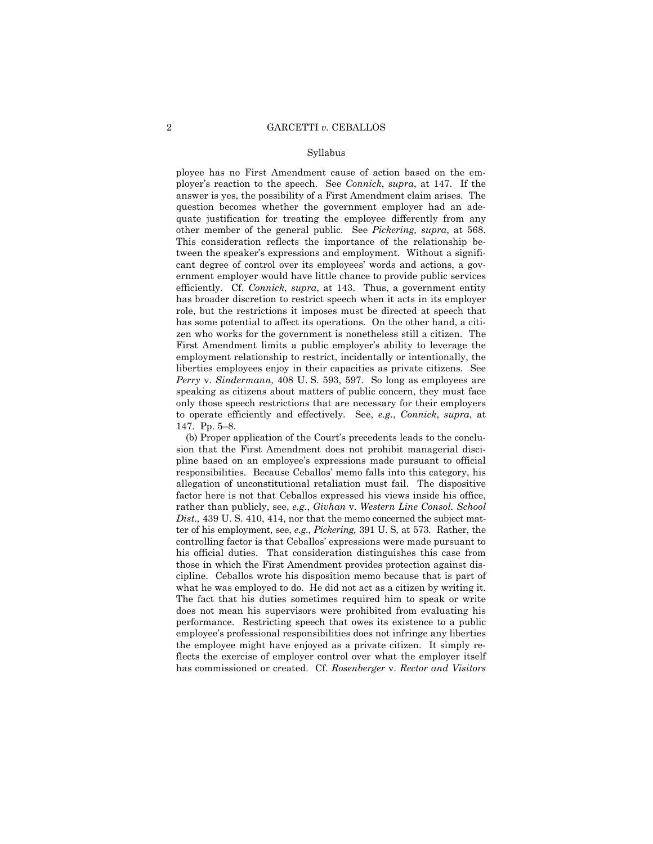#### Syllabus

ployee has no First Amendment cause of action based on the employerís reaction to the speech. See *Connick*, *supra*, at 147. If the answer is yes, the possibility of a First Amendment claim arises. The question becomes whether the government employer had an adequate justification for treating the employee differently from any other member of the general public. See *Pickering, supra*, at 568. This consideration reflects the importance of the relationship between the speaker's expressions and employment. Without a significant degree of control over its employees' words and actions, a government employer would have little chance to provide public services efficiently. Cf. *Connick*, *supra*, at 143. Thus, a government entity has broader discretion to restrict speech when it acts in its employer role, but the restrictions it imposes must be directed at speech that has some potential to affect its operations. On the other hand, a citizen who works for the government is nonetheless still a citizen. The First Amendment limits a public employer's ability to leverage the employment relationship to restrict, incidentally or intentionally, the liberties employees enjoy in their capacities as private citizens. See *Perry* v. *Sindermann,* 408 U. S. 593, 597. So long as employees are speaking as citizens about matters of public concern, they must face only those speech restrictions that are necessary for their employers to operate efficiently and effectively. See, *e.g.*, *Connick*, *supra*, at 147. Pp. 5-8.

(b) Proper application of the Court's precedents leads to the conclusion that the First Amendment does not prohibit managerial discipline based on an employeeís expressions made pursuant to official responsibilities. Because Ceballos' memo falls into this category, his allegation of unconstitutional retaliation must fail. The dispositive factor here is not that Ceballos expressed his views inside his office, rather than publicly, see, *e.g.*, *Givhan* v. *Western Line Consol. School Dist.,* 439 U. S. 410, 414, nor that the memo concerned the subject matter of his employment, see, *e.g.*, *Pickering,* 391 U. S, at 573. Rather, the controlling factor is that Ceballos' expressions were made pursuant to his official duties. That consideration distinguishes this case from those in which the First Amendment provides protection against discipline. Ceballos wrote his disposition memo because that is part of what he was employed to do. He did not act as a citizen by writing it. The fact that his duties sometimes required him to speak or write does not mean his supervisors were prohibited from evaluating his performance. Restricting speech that owes its existence to a public employeeís professional responsibilities does not infringe any liberties the employee might have enjoyed as a private citizen. It simply reflects the exercise of employer control over what the employer itself has commissioned or created. Cf. *Rosenberger* v. *Rector and Visitors*